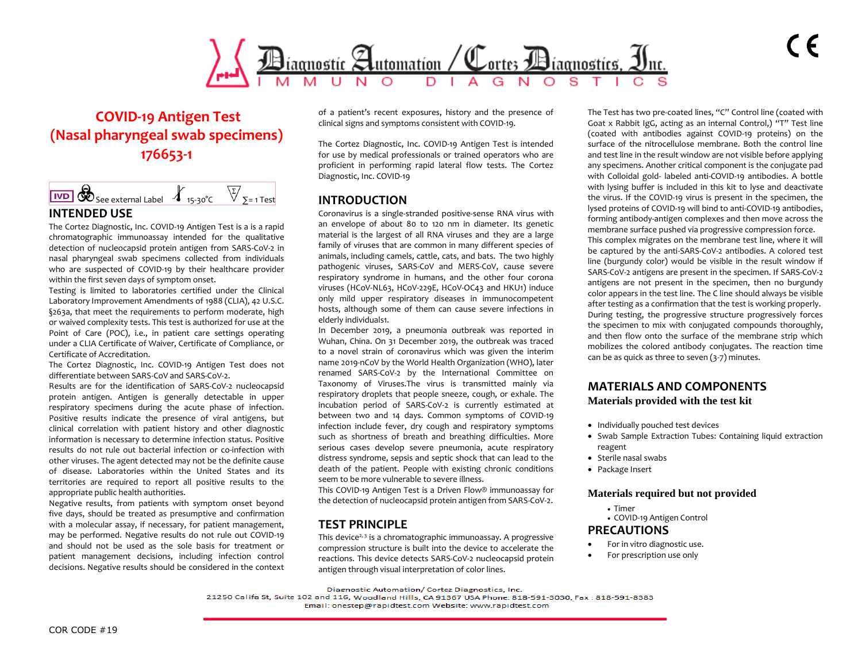

# **COVID-19 Antigen Test (Nasal pharyngeal swab specimens) 176653-1**



### **INTENDED USE**

The Cortez Diagnostic, Inc. COVID-19 Antigen Test is a is a rapid chromatographic immunoassay intended for the qualitative detection of nucleocapsid protein antigen from SARS-CoV-2 in nasal pharyngeal swab specimens collected from individuals who are suspected of COVID-19 by their healthcare provider within the first seven days of symptom onset.

Testing is limited to laboratories certified under the Clinical Laboratory Improvement Amendments of 1988 (CLIA), 42 U.S.C. §263a, that meet the requirements to perform moderate, high or waived complexity tests. This test is authorized for use at the Point of Care (POC), i.e., in patient care settings operating under a CLIA Certificate of Waiver, Certificate of Compliance, or Certificate of Accreditation.

The Cortez Diagnostic, Inc. COVID-19 Antigen Test does not differentiate between SARS-CoV and SARS-CoV-2.

Results are for the identification of SARS-CoV-2 nucleocapsid protein antigen. Antigen is generally detectable in upper respiratory specimens during the acute phase of infection. Positive results indicate the presence of viral antigens, but clinical correlation with patient history and other diagnostic information is necessary to determine infection status. Positive results do not rule out bacterial infection or co-infection with other viruses. The agent detected may not be the definite cause of disease. Laboratories within the United States and its territories are required to report all positive results to the appropriate public health authorities.

Negative results, from patients with symptom onset beyond five days, should be treated as presumptive and confirmation with a molecular assay, if necessary, for patient management, may be performed. Negative results do not rule out COVID-19 and should not be used as the sole basis for treatment or patient management decisions, including infection control decisions. Negative results should be considered in the context of a patient's recent exposures, history and the presence of clinical signs and symptoms consistent with COVID-19.

The Cortez Diagnostic, Inc. COVID-19 Antigen Test is intended for use by medical professionals or trained operators who are proficient in performing rapid lateral flow tests. The Cortez Diagnostic, Inc. COVID-19

## **INTRODUCTION**

Coronavirus is a single-stranded positive-sense RNA virus with an envelope of about 80 to 120 nm in diameter. Its genetic material is the largest of all RNA viruses and they are a large family of viruses that are common in many different species of animals, including camels, cattle, cats, and bats. The two highly pathogenic viruses, SARS-CoV and MERS-CoV, cause severe respiratory syndrome in humans, and the other four corona viruses (HCoV-NL63, HCoV-229E, HCoV-OC43 and HKU1) induce only mild upper respiratory diseases in immunocompetent hosts, although some of them can cause severe infections in elderly individuals1.

In December 2019, a pneumonia outbreak was reported in Wuhan, China. On 31 December 2019, the outbreak was traced to a novel strain of coronavirus which was given the interim name 2019-nCoV by the World Health Organization (WHO), later renamed SARS-CoV-2 by the International Committee on Taxonomy of Viruses.The virus is transmitted mainly via respiratory droplets that people sneeze, cough, or exhale. The incubation period of SARS-CoV-2 is currently estimated at between two and 14 days. Common symptoms of COVID-19 infection include fever, dry cough and respiratory symptoms such as shortness of breath and breathing difficulties. More serious cases develop severe pneumonia, acute respiratory distress syndrome, sepsis and septic shock that can lead to the death of the patient. People with existing chronic conditions seem to be more vulnerable to severe illness.

This COVID-19 Antigen Test is a Driven Flow® immunoassay for the detection of nucleocapsid protein antigen from SARS-CoV-2.

## **TEST PRINCIPLE**

This device<sup>2, 3</sup> is a chromatographic immunoassay. A progressive compression structure is built into the device to accelerate the reactions. This device detects SARS-CoV-2 nucleocapsid protein antigen through visual interpretation of color lines.

The Test has two pre-coated lines, "C" Control line (coated with Goat x Rabbit IgG, acting as an internal Control,) "T" Test line (coated with antibodies against COVID-19 proteins) on the surface of the nitrocellulose membrane. Both the control line and test line in the result window are not visible before applying any specimens. Another critical component is the conjugate pad with Colloidal gold- labeled anti-COVID-19 antibodies. A bottle with lysing buffer is included in this kit to lyse and deactivate the virus. If the COVID-19 virus is present in the specimen, the lysed proteins of COVID-19 will bind to anti-COVID-19 antibodies, forming antibody-antigen complexes and then move across the membrane surface pushed via progressive compression force. This complex migrates on the membrane test line, where it will be captured by the anti-SARS-CoV-2 antibodies. A colored test line (burgundy color) would be visible in the result window if SARS-CoV-2 antigens are present in the specimen. If SARS-CoV-2 antigens are not present in the specimen, then no burgundy color appears in the test line. The C line should always be visible after testing as a confirmation that the test is working properly. During testing, the progressive structure progressively forces the specimen to mix with conjugated compounds thoroughly, and then flow onto the surface of the membrane strip which mobilizes the colored antibody conjugates. The reaction time can be as quick as three to seven (3-7) minutes.

### **MATERIALS AND COMPONENTS Materials provided with the test kit**

- Individually pouched test devices
- Swab Sample Extraction Tubes: Containing liquid extraction reagent
- Sterile nasal swabs
- Package Insert

### **Materials required but not provided**

- Timer
- COVID-19 Antigen Control

### **PRECAUTIONS**

- For in vitro diagnostic use.
- For prescription use only

Diagnostic Automation/ Cortez Diagnostics, Inc.

21250 Califa St, Suite 102 and 116, Woodland Hills, CA 91367 USA Phone: 818-591-3030, Fax: 818-591-8383

Email: onestep@rapidtest.com Website: www.rapidtest.com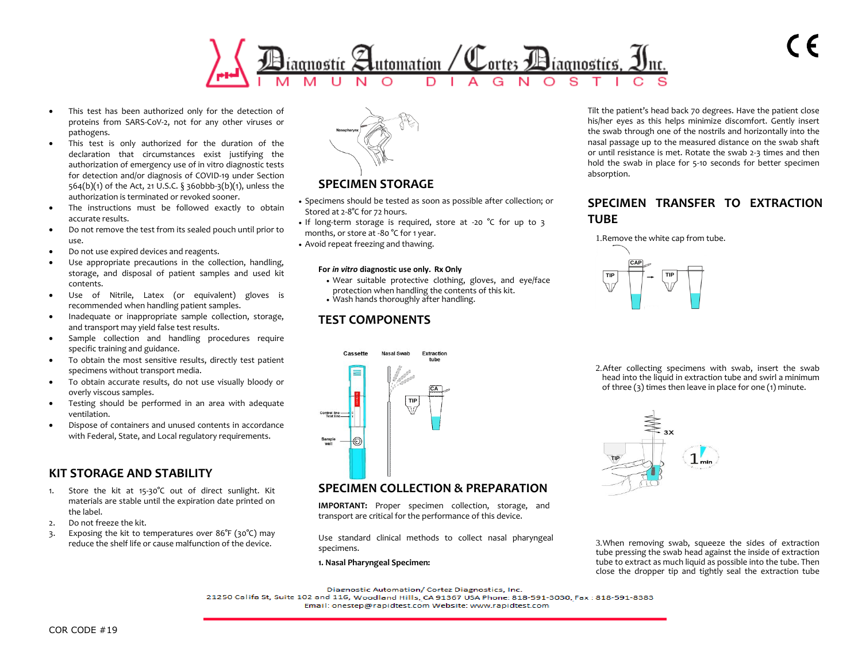

- This test has been authorized only for the detection of proteins from SARS-CoV-2, not for any other viruses or pathogens.
- This test is only authorized for the duration of the declaration that circumstances exist justifying the authorization of emergency use of in vitro diagnostic tests for detection and/or diagnosis of COVID-19 under Section 564(b)(1) of the Act, 21 U.S.C. § 360bbb-3(b)(1), unless the authorization is terminated or revoked sooner.
- The instructions must be followed exactly to obtain accurate results.
- Do not remove the test from its sealed pouch until prior to use.
- Do not use expired devices and reagents.
- Use appropriate precautions in the collection, handling, storage, and disposal of patient samples and used kit contents.
- Use of Nitrile, Latex (or equivalent) gloves is recommended when handling patient samples.
- Inadequate or inappropriate sample collection, storage, and transport may yield false test results.
- Sample collection and handling procedures require specific training and guidance.
- To obtain the most sensitive results, directly test patient specimens without transport media.
- To obtain accurate results, do not use visually bloody or overly viscous samples.
- Testing should be performed in an area with adequate ventilation.
- Dispose of containers and unused contents in accordance with Federal, State, and Local regulatory requirements.

## **KIT STORAGE AND STABILITY**

- Store the kit at 15-30°C out of direct sunlight. Kit materials are stable until the expiration date printed on the label.
- 2. Do not freeze the kit.
- 3. Exposing the kit to temperatures over 86°F (30°C) may reduce the shelf life or cause malfunction of the device.



## **SPECIMEN STORAGE**

- Specimens should be tested as soon as possible after collection; or Stored at 2-8°C for 72 hours.
- If long-term storage is required, store at -20 °C for up to 3 months, or store at -80 °C for 1 year.
- Avoid repeat freezing and thawing.

### **For** *in vitro* **diagnostic use only. Rx Only**

- Wear suitable protective clothing, gloves, and eye/face protection when handling the contents of this kit.
- Wash hands thoroughly after handling.

## **TEST COMPONENTS**



## **SPECIMEN COLLECTION & PREPARATION**

**IMPORTANT:** Proper specimen collection, storage, and transport are critical for the performance of this device.

Use standard clinical methods to collect nasal pharyngeal specimens.

### **1. Nasal Pharyngeal Specimen:**

Tilt the patient's head back 70 degrees. Have the patient close his/her eyes as this helps minimize discomfort. Gently insert the swab through one of the nostrils and horizontally into the nasal passage up to the measured distance on the swab shaft or until resistance is met. Rotate the swab 2-3 times and then hold the swab in place for 5-10 seconds for better specimen absorption.

## **SPECIMEN TRANSFER TO EXTRACTION TUBE**



2.After collecting specimens with swab, insert the swab head into the liquid in extraction tube and swirl a minimum of three (3) times then leave in place for one (1) minute.



3.When removing swab, squeeze the sides of extraction tube pressing the swab head against the inside of extraction tube to extract as much liquid as possible into the tube. Then close the dropper tip and tightly seal the extraction tube

Diagnostic Automation/ Cortez Diagnostics, Inc.

21250 Califa St, Suite 102 and 116, Woodland Hills, CA 91367 USA Phone: 818-591-3030, Fax: 818-591-8383 Email: onestep@rapidtest.com Website: www.rapidtest.com

COR CODE #19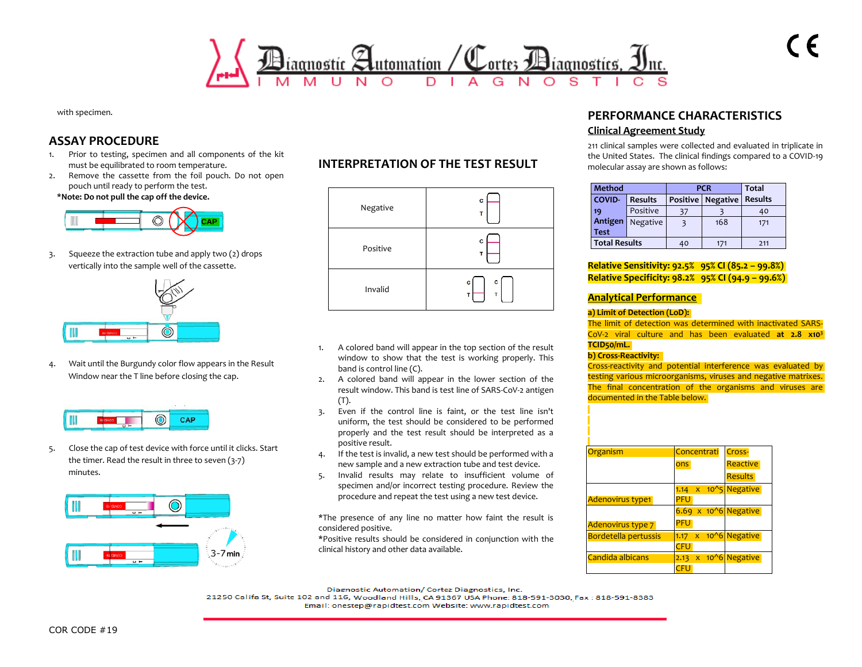

with specimen.

## **ASSAY PROCEDURE**

- 1. Prior to testing, specimen and all components of the kit must be equilibrated to room temperature.
- 2. Remove the cassette from the foil pouch. Do not open pouch until ready to perform the test. **\*Note: Do not pull the cap off the device.**



3. Squeeze the extraction tube and apply two (2) drops vertically into the sample well of the cassette.



4. Wait until the Burgundy color flow appears in the Result Window near the T line before closing the cap.



5. Close the cap of test device with force until it clicks. Start the timer. Read the result in three to seven (3-7) minutes.



## **INTERPRETATION OF THE TEST RESULT**



- 1. A colored band will appear in the top section of the result window to show that the test is working properly. This band is control line (C).
- 2. A colored band will appear in the lower section of the result window. This band is test line of SARS-CoV-2 antigen (T).
- 3. Even if the control line is faint, or the test line isn't uniform, the test should be considered to be performed properly and the test result should be interpreted as a positive result.
- 4. If the test is invalid, a new test should be performed with a new sample and a new extraction tube and test device.
- 5. Invalid results may relate to insufficient volume of specimen and/or incorrect testing procedure. Review the procedure and repeat the test using a new test device.

\*The presence of any line no matter how faint the result is considered positive.

\*Positive results should be considered in conjunction with the clinical history and other data available.

### **PERFORMANCE CHARACTERISTICS Clinical Agreement Study**

211 clinical samples were collected and evaluated in triplicate in the United States. The clinical findings compared to a COVID-19 molecular assay are shown as follows:

| <b>Method</b>        |                | <b>PCR</b> |                   | <b>Total</b>   |
|----------------------|----------------|------------|-------------------|----------------|
| <b>COVID-</b>        | <b>Results</b> |            | Positive Negative | <b>Results</b> |
| 19                   | Positive       | 37         |                   | 40             |
| Antigen              | Negative       |            | 168               | 171            |
| <b>Test</b>          |                |            |                   |                |
| <b>Total Results</b> |                | 40         | 171               | 211            |

### **Relative Sensitivity: 92.5% 95% CI (85.2 – 99.8%) Relative Specificity: 98.2% 95% CI (94.9 – 99.6%)**

### **Analytical Performance**

#### **a) Limit of Detection (LoD):**

The limit of detection was determined with inactivated SARS-CoV-2 viral culture and has been evaluated **at 2.8 x10<sup>3</sup> TCID50/mL.**

### **b) Cross-Reactivity:**

Cross-reactivity and potential interference was evaluated by testing various microorganisms, viruses and negative matrixes. The final concentration of the organisms and viruses are documented in the Table below.

| Organism                    | Concentrati                                    | Cross-          |
|-----------------------------|------------------------------------------------|-----------------|
|                             | ons                                            | <b>Reactive</b> |
|                             |                                                | <b>Results</b>  |
|                             | $10^{15}$<br>1.14<br>$\mathsf{x}$              | <b>Negative</b> |
| <b>Adenovirus type1</b>     | PFU                                            |                 |
|                             | $x$ 10 <sup><math>\land</math></sup> 6<br>6.69 | <b>Negative</b> |
| Adenovirus type 7           | <b>PFU</b>                                     |                 |
| <b>Bordetella pertussis</b> | $10^{6}$<br>$\boldsymbol{\mathsf{x}}$<br>1.17  | <b>Negative</b> |
|                             | CFU                                            |                 |
| Candida albicans            | $10^{6}$<br>$\mathsf{x}$<br>2.13               | <b>Negative</b> |
|                             |                                                |                 |

Diagnostic Automation/ Cortez Diagnostics, Inc.

21250 Califa St, Suite 102 and 116, Woodland Hills, CA 91367 USA Phone: 818-591-3030, Fax: 818-591-8383 Email: onestep@rapidtest.com Website: www.rapidtest.com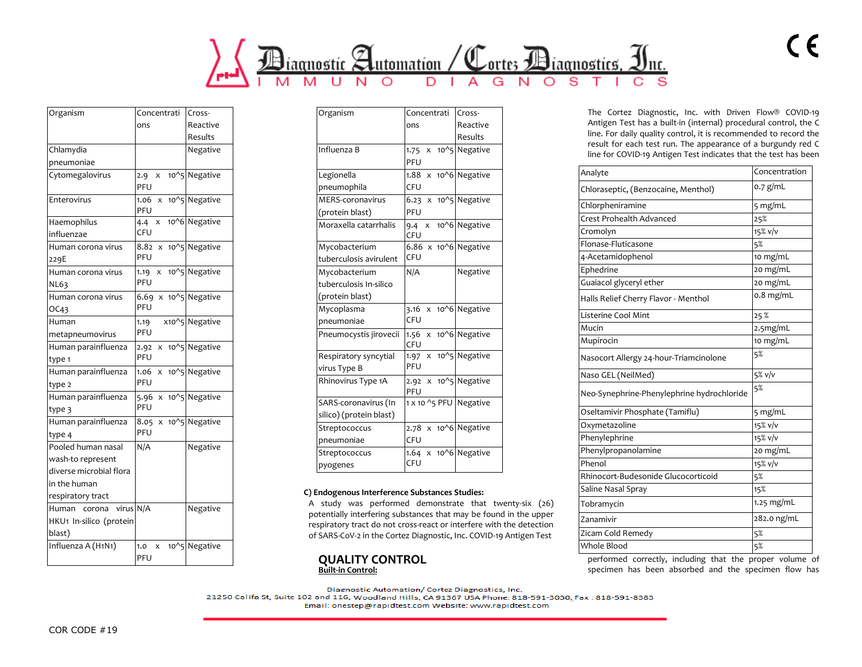

| Organism                                                                                                | Concentrati                                                 | Cross-                                    |
|---------------------------------------------------------------------------------------------------------|-------------------------------------------------------------|-------------------------------------------|
|                                                                                                         | ons                                                         | Reactive                                  |
|                                                                                                         |                                                             | Results                                   |
| Chlamydia                                                                                               |                                                             | Negative                                  |
| pneumoniae                                                                                              |                                                             |                                           |
| Cytomegalovirus                                                                                         | 2.9<br>PFU                                                  | x 10^5 Negative                           |
| Enterovirus                                                                                             | $1.06 \times 10^{4}$ 5 Negative<br>PFU                      |                                           |
| Haemophilus<br>influenzae                                                                               | 4.4 x 10^6 Negative<br><b>CFU</b>                           |                                           |
| Human corona virus<br>229E                                                                              | 8.82 x 10 <sup>^</sup> 5 Negative<br>PFU                    |                                           |
| Human corona virus<br><b>NL63</b>                                                                       | 1.19 $x$ 10 <sup><math>\land</math></sup> 5 Negative<br>PFU |                                           |
| Human corona virus<br>OC43                                                                              | 6.69 $\times$ 10 <sup>^</sup> 5 Negative<br>PFU             |                                           |
| Human<br>metapneumovirus                                                                                | 1.19<br>PFU                                                 | x10^5 Negative                            |
| Human parainfluenza<br>type 1                                                                           | 2.92<br>PFU                                                 | x 10^5 Negative                           |
| Human parainfluenza<br>type 2                                                                           | 1.06<br>PFU                                                 | $\overline{x}$ 10 <sup>^</sup> 5 Negative |
| Human parainfluenza<br>type 3                                                                           | 5.96<br>PFU                                                 | $\overline{x}$ 10 <sup>^</sup> 5 Negative |
| Human parainfluenza<br>type 4                                                                           | 8.05 x 10^5 Negative<br>PFU                                 |                                           |
| Pooled human nasal<br>wash-to represent<br>diverse microbial flora<br>in the human<br>respiratory tract | N/A                                                         | Negative                                  |
| Human corona virus N/A<br>HKU1 In-silico (protein<br>blast)                                             |                                                             | Negative                                  |
| Influenza A (H <sub>1</sub> N <sub>1</sub> )                                                            | 1.0<br>$\mathsf{X}$<br>PFU                                  | 10^5 Negative                             |

| Organism                | Concentrati                              | Cross-        |
|-------------------------|------------------------------------------|---------------|
|                         | ons                                      | Reactive      |
|                         |                                          | Results       |
| Influenza B             | 1.75 $\times$ 10 <sup>^</sup> 5 Negative |               |
|                         | PFU                                      |               |
| Legionella              | $1.88 \times 10^{6}$ Negative            |               |
| pneumophila             | CFU                                      |               |
| <b>MERS-coronavirus</b> | 6.23 $\times$ 10 <sup>^</sup> 5 Negative |               |
| (protein blast)         | PFU                                      |               |
| Moraxella catarrhalis   | 9.4 X<br><b>CFU</b>                      | 10^6 Negative |
| Mycobacterium           | $6.86 \times 10^{6}$ Negative            |               |
| tuberculosis avirulent  | CFU                                      |               |
| Mycobacterium           | N/A                                      | Negative      |
| tuberculosis In-silico  |                                          |               |
| (protein blast)         |                                          |               |
| Mycoplasma              | 3.16 x 10^6 Negative                     |               |
| pneumoniae              | CFU                                      |               |
| Pneumocystis jirovecii  | 1.56<br>x<br><b>CFU</b>                  | 10^6 Negative |
| Respiratory syncytial   | $1.97 \times$                            | 10^5 Negative |
| virus Type B            | PFU                                      |               |
| Rhinovirus Type 1A      | $2.92 \times$<br>PFU                     | 10^5 Negative |
| SARS-coronavirus (In    | 1 x 10 ^5 PFU Negative                   |               |
| silico) (protein blast) |                                          |               |
| Streptococcus           | 2.78 x 10^6 Negative                     |               |
| pneumoniae              | CFU                                      |               |
| Streptococcus           | 1.64 x 10^6 Negative                     |               |
| pyogenes                | CFU                                      |               |

#### **C) Endogenous Interference Substances Studies:**

A study was performed demonstrate that twenty-six (26) potentially interfering substances that may be found in the upper respiratory tract do not cross-react or interfere with the detection of SARS-CoV-2 in the Cortez Diagnostic, Inc. COVID-19 Antigen Test



Diagnostic Automation/ Cortez Diagnostics, Inc.

21250 Califa St, Suite 102 and 116, Woodland Hills, CA 91367 USA Phone: 818-591-3030, Fax: 818-591-8383 Email: onestep@rapidtest.com Website: www.rapidtest.com

The Cortez Diagnostic, Inc. with Driven Flow® COVID-19 Antigen Test has a built-in (internal) procedural control, the C line. For daily quality control, it is recommended to record the result for each test run. The appearance of a burgundy red C line for COVID-19 Antigen Test indicates that the test has been

 $\epsilon$ 

| Analyte                                    | Concentration |
|--------------------------------------------|---------------|
| Chloraseptic, (Benzocaine, Menthol)        | $0.7$ g/mL    |
| Chlorpheniramine                           | 5 mg/mL       |
| Crest Prohealth Advanced                   | 25%           |
| Cromolyn                                   | 15% v/v       |
| Flonase-Fluticasone                        | 5%            |
| 4-Acetamidophenol                          | 10 mg/mL      |
| Ephedrine                                  | 20 mg/mL      |
| Guaiacol glyceryl ether                    | 20 mg/mL      |
| Halls Relief Cherry Flavor - Menthol       | $0.8$ mg/mL   |
| Listerine Cool Mint                        | 25%           |
| Mucin                                      | 2.5mg/mL      |
| Mupirocin                                  | 10 mg/mL      |
| Nasocort Allergy 24-hour-Triamcinolone     | 5%            |
| Naso GEL (NeilMed)                         | $5\%$ v/v     |
| Neo-Synephrine-Phenylephrine hydrochloride | 5%            |
| Oseltamivir Phosphate (Tamiflu)            | 5 mg/mL       |
| Oxymetazoline                              | 15% v/v       |
| Phenylephrine                              | 15% v/v       |
| Phenylpropanolamine                        | 20 mg/mL      |
| Phenol                                     | 15% v/v       |
| Rhinocort-Budesonide Glucocorticoid        | 5%            |
| Saline Nasal Spray                         | 15%           |
| Tobramycin                                 | 1.25 mg/mL    |
| Zanamivir                                  | 282.0 ng/mL   |
| Zicam Cold Remedy                          | 5%            |
| Whole Blood                                | 5%            |

performed correctly, including that the proper volume of specimen has been absorbed and the specimen flow has

COR CODE #19